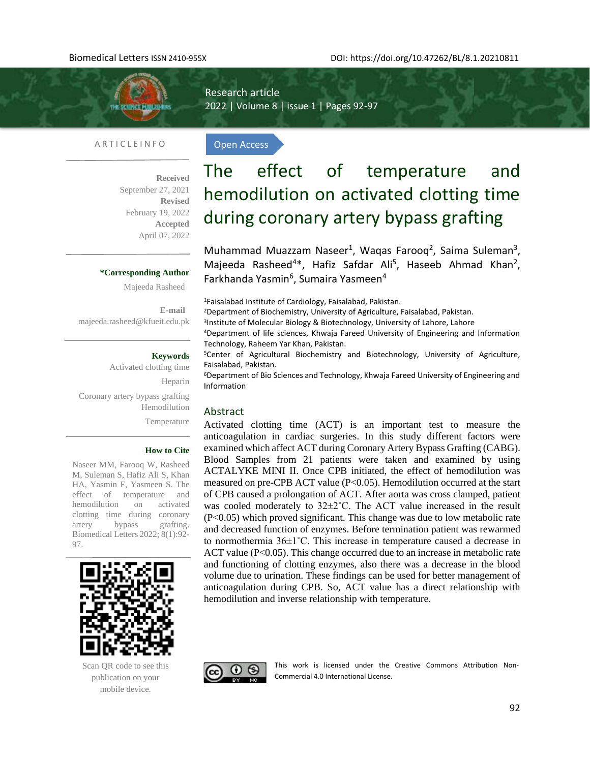THE SCIENCE PUBLISH

Research article 2022 | Volume 8 | issue 1 | Pages 92-97

Open Access

#### A R T I C L E I N F O

**Received**  September 27, 2021 **Revised** February 19, 2022 **Accepted** April 07, 2022

#### **\*Corresponding Author**

Majeeda Rasheed

**E-mail**  [majeeda.rasheed@kfueit.edu.pk](mailto:majeeda.rasheed@kfueit.edu.pk)

#### **Keywords**

Activated clotting time Heparin Coronary artery bypass grafting Hemodilution Temperature

#### **How to Cite**

Naseer MM, Farooq W, Rasheed M, Suleman S, Hafiz Ali S, Khan HA, Yasmin F, Yasmeen S. The effect of temperature and hemodilution on activated clotting time during coronary artery bypass grafting. Biomedical Letters 2022; 8(1):92- 97.



Scan QR code to see this publication on your mobile device.

# The effect of temperature and hemodilution on activated clotting time during coronary artery bypass grafting

Muhammad Muazzam Naseer<sup>1</sup>, Waqas Farooq<sup>2</sup>, Saima Suleman<sup>3</sup>, Majeeda Rasheed<sup>4\*</sup>, Hafiz Safdar Ali<sup>5</sup>, Haseeb Ahmad Khan<sup>2</sup>, Farkhanda Yasmin<sup>6</sup>, Sumaira Yasmeen<sup>4</sup>

<sup>1</sup>Faisalabad Institute of Cardiology, Faisalabad, Pakistan.

<sup>2</sup>Department of Biochemistry, University of Agriculture, Faisalabad, Pakistan.

3 Institute of Molecular Biology & Biotechnology, University of Lahore, Lahore

<sup>4</sup>Department of life sciences, Khwaja Fareed University of Engineering and Information Technology, Raheem Yar Khan, Pakistan.

<sup>5</sup>Center of Agricultural Biochemistry and Biotechnology, University of Agriculture, Faisalabad, Pakistan.

<sup>6</sup>Department of Bio Sciences and Technology, Khwaja Fareed University of Engineering and Information

#### Abstract

Activated clotting time (ACT) is an important test to measure the anticoagulation in cardiac surgeries. In this study different factors were examined which affect ACT during Coronary Artery Bypass Grafting (CABG). Blood Samples from 21 patients were taken and examined by using ACTALYKE MINI II. Once CPB initiated, the effect of hemodilution was measured on pre-CPB ACT value (P<0.05). Hemodilution occurred at the start of CPB caused a prolongation of ACT. After aorta was cross clamped, patient was cooled moderately to 32±2˚C. The ACT value increased in the result (P<0.05) which proved significant. This change was due to low metabolic rate and decreased function of enzymes. Before termination patient was rewarmed to normothermia  $36\pm1^{\circ}$ C. This increase in temperature caused a decrease in ACT value (P<0.05). This change occurred due to an increase in metabolic rate and functioning of clotting enzymes, also there was a decrease in the blood volume due to urination. These findings can be used for better management of anticoagulation during CPB. So, ACT value has a direct relationship with hemodilution and inverse relationship with temperature.



This work is licensed under the Creative Commons Attribution Non-Commercial 4.0 International License.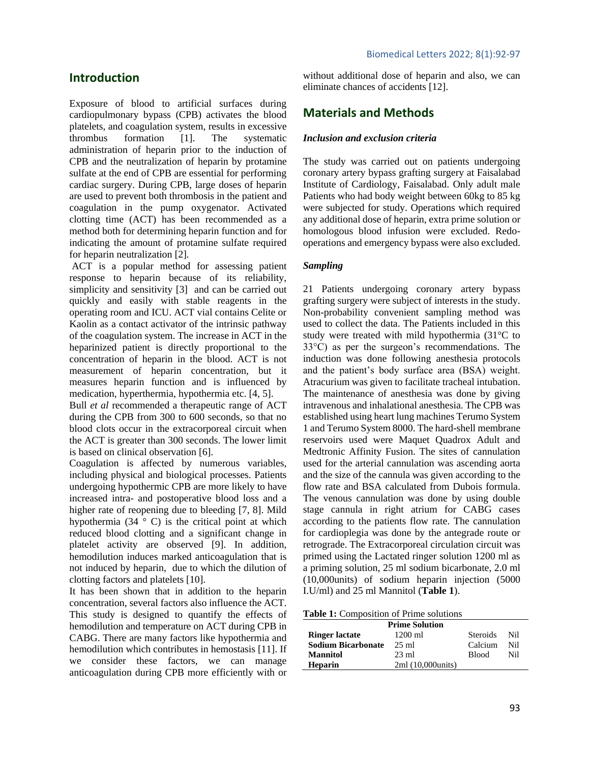# **Introduction**

Exposure of blood to artificial surfaces during cardiopulmonary bypass (CPB) activates the blood platelets, and coagulation system, results in excessive thrombus formation [1]. The systematic administration of heparin prior to the induction of CPB and the neutralization of heparin by protamine sulfate at the end of CPB are essential for performing cardiac surgery. During CPB, large doses of heparin are used to prevent both thrombosis in the patient and coagulation in the pump oxygenator. Activated clotting time (ACT) has been recommended as a method both for determining heparin function and for indicating the amount of protamine sulfate required for heparin neutralization [2].

ACT is a popular method for assessing patient response to heparin because of its reliability, simplicity and sensitivity [3] and can be carried out quickly and easily with stable reagents in the operating room and ICU. ACT vial contains Celite or Kaolin as a contact activator of the intrinsic pathway of the coagulation system. The increase in ACT in the heparinized patient is directly proportional to the concentration of heparin in the blood. ACT is not measurement of heparin concentration, but it measures heparin function and is influenced by medication, hyperthermia, hypothermia etc. [4, 5].

Bull *et al* recommended a therapeutic range of ACT during the CPB from 300 to 600 seconds, so that no blood clots occur in the extracorporeal circuit when the ACT is greater than 300 seconds. The lower limit is based on clinical observation [6].

Coagulation is affected by numerous variables, including physical and biological processes. Patients undergoing hypothermic CPB are more likely to have increased intra- and postoperative blood loss and a higher rate of reopening due to bleeding [7, 8]. Mild hypothermia  $(34 \circ C)$  is the critical point at which reduced blood clotting and a significant change in platelet activity are observed [9]. In addition, hemodilution induces marked anticoagulation that is not induced by heparin, due to which the dilution of clotting factors and platelets [10].

It has been shown that in addition to the heparin concentration, several factors also influence the ACT. This study is designed to quantify the effects of hemodilution and temperature on ACT during CPB in CABG. There are many factors like hypothermia and hemodilution which contributes in hemostasis [11]. If we consider these factors, we can manage anticoagulation during CPB more efficiently with or without additional dose of heparin and also, we can eliminate chances of accidents [12].

# **Materials and Methods**

#### *Inclusion and exclusion criteria*

The study was carried out on patients undergoing coronary artery bypass grafting surgery at Faisalabad Institute of Cardiology, Faisalabad. Only adult male Patients who had body weight between 60kg to 85 kg were subjected for study. Operations which required any additional dose of heparin, extra prime solution or homologous blood infusion were excluded. Redooperations and emergency bypass were also excluded.

#### *Sampling*

21 Patients undergoing coronary artery bypass grafting surgery were subject of interests in the study. Non-probability convenient sampling method was used to collect the data. The Patients included in this study were treated with mild hypothermia (31°C to 33°C) as per the surgeon's recommendations. The induction was done following anesthesia protocols and the patient's body surface area (BSA) weight. Atracurium was given to facilitate tracheal intubation. The maintenance of anesthesia was done by giving intravenous and inhalational anesthesia. The CPB was established using heart lung machines Terumo System 1 and Terumo System 8000. The hard-shell membrane reservoirs used were Maquet Quadrox Adult and Medtronic Affinity Fusion. The sites of cannulation used for the arterial cannulation was ascending aorta and the size of the cannula was given according to the flow rate and BSA calculated from Dubois formula. The venous cannulation was done by using double stage cannula in right atrium for CABG cases according to the patients flow rate. The cannulation for cardioplegia was done by the antegrade route or retrograde. The Extracorporeal circulation circuit was primed using the Lactated ringer solution 1200 ml as a priming solution, 25 ml sodium bicarbonate, 2.0 ml (10,000units) of sodium heparin injection (5000 I.U/ml) and 25 ml Mannitol (**Table 1**).

| <b>Prime Solution</b>     |                    |                 |     |  |  |  |
|---------------------------|--------------------|-----------------|-----|--|--|--|
| <b>Ringer lactate</b>     | $1200 \text{ ml}$  | <b>Steroids</b> | Nil |  |  |  |
| <b>Sodium Bicarbonate</b> | $25 \text{ ml}$    | Calcium         | Nil |  |  |  |
| <b>Mannitol</b>           | $23 \text{ ml}$    | <b>Blood</b>    | Nil |  |  |  |
| <b>Heparin</b>            | 2ml (10,000 units) |                 |     |  |  |  |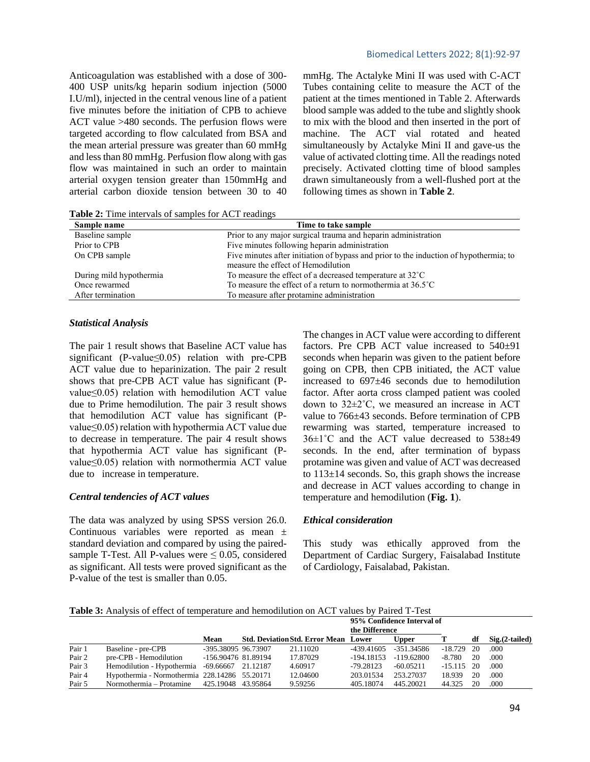#### Biomedical Letters 2022; 8(1):92-97

Anticoagulation was established with a dose of 300- 400 USP units/kg heparin sodium injection (5000 I.U/ml), injected in the central venous line of a patient five minutes before the initiation of CPB to achieve ACT value >480 seconds. The perfusion flows were targeted according to flow calculated from BSA and the mean arterial pressure was greater than 60 mmHg and less than 80 mmHg. Perfusion flow along with gas flow was maintained in such an order to maintain arterial oxygen tension greater than 150mmHg and arterial carbon dioxide tension between 30 to 40 mmHg. The Actalyke Mini II was used with C-ACT Tubes containing celite to measure the ACT of the patient at the times mentioned in Table 2. Afterwards blood sample was added to the tube and slightly shook to mix with the blood and then inserted in the port of machine. The ACT vial rotated and heated simultaneously by Actalyke Mini II and gave-us the value of activated clotting time. All the readings noted precisely. Activated clotting time of blood samples drawn simultaneously from a well-flushed port at the following times as shown in **Table 2**.

**Table 2:** Time intervals of samples for ACT readings

| Time to take sample                                                                   |
|---------------------------------------------------------------------------------------|
| Prior to any major surgical trauma and heparin administration                         |
| Five minutes following heparin administration                                         |
| Five minutes after initiation of bypass and prior to the induction of hypothermia; to |
| measure the effect of Hemodilution                                                    |
| To measure the effect of a decreased temperature at 32°C                              |
| To measure the effect of a return to normothermia at $36.5^{\circ}$ C                 |
| To measure after protamine administration                                             |
|                                                                                       |

#### *Statistical Analysis*

The pair 1 result shows that Baseline ACT value has significant (P-value $\leq$ 0.05) relation with pre-CPB ACT value due to heparinization. The pair 2 result shows that pre-CPB ACT value has significant (Pvalue≤0.05) relation with hemodilution ACT value due to Prime hemodilution. The pair 3 result shows that hemodilution ACT value has significant (Pvalue≤0.05) relation with hypothermia ACT value due to decrease in temperature. The pair 4 result shows that hypothermia ACT value has significant (Pvalue≤0.05) relation with normothermia ACT value due to increase in temperature.

#### *Central tendencies of ACT values*

The data was analyzed by using SPSS version 26.0. Continuous variables were reported as mean ± standard deviation and compared by using the pairedsample T-Test. All P-values were  $\leq 0.05$ , considered as significant. All tests were proved significant as the P-value of the test is smaller than 0.05.

The changes in ACT value were according to different factors. Pre CPB ACT value increased to  $540±91$ seconds when heparin was given to the patient before going on CPB, then CPB initiated, the ACT value increased to 697±46 seconds due to hemodilution factor. After aorta cross clamped patient was cooled down to 32±2˚C, we measured an increase in ACT value to 766±43 seconds. Before termination of CPB rewarming was started, temperature increased to 36±1˚C and the ACT value decreased to 538±49 seconds. In the end, after termination of bypass protamine was given and value of ACT was decreased to  $113\pm14$  seconds. So, this graph shows the increase and decrease in ACT values according to change in temperature and hemodilution (**Fig. 1**).

### *Ethical consideration*

This study was ethically approved from the Department of Cardiac Surgery, Faisalabad Institute of Cardiology, Faisalabad, Pakistan.

**Table 3:** Analysis of effect of temperature and hemodilution on ACT values by Paired T-Test

|        |                                               |                     |                                             | 95% Confidence Interval of |            |              |     |                  |
|--------|-----------------------------------------------|---------------------|---------------------------------------------|----------------------------|------------|--------------|-----|------------------|
|        |                                               |                     |                                             | the Difference             |            |              |     |                  |
|        |                                               | Mean                | <b>Std. Deviation Std. Error Mean Lower</b> |                            | Upper      |              | df  | $Sig.(2-tailed)$ |
| Pair 1 | Baseline - pre-CPB                            | -395.38095 96.73907 | 21.11020                                    | -439.41605                 | -351.34586 | -18.729      | -20 | .000             |
| Pair 2 | pre-CPB - Hemodilution                        | -156.90476 81.89194 | 17.87029                                    | -194.18153                 | -119.62800 | -8.780       | 20  | .000             |
| Pair 3 | Hemodilution - Hypothermia -69.66667 21.12187 |                     | 4.60917                                     | -79.28123                  | -60.05211  | $-15.115$ 20 |     | .000             |
| Pair 4 | Hypothermia - Normothermia 228.14286 55.20171 |                     | 12.04600                                    | 203.01534                  | 253.27037  | 18.939       | 20  | .000             |
| Pair 5 | Normothermia – Protamine 425.19048 43.95864   |                     | 9.59256                                     | 405.18074                  | 445.20021  | 44.325       | 20  | .000             |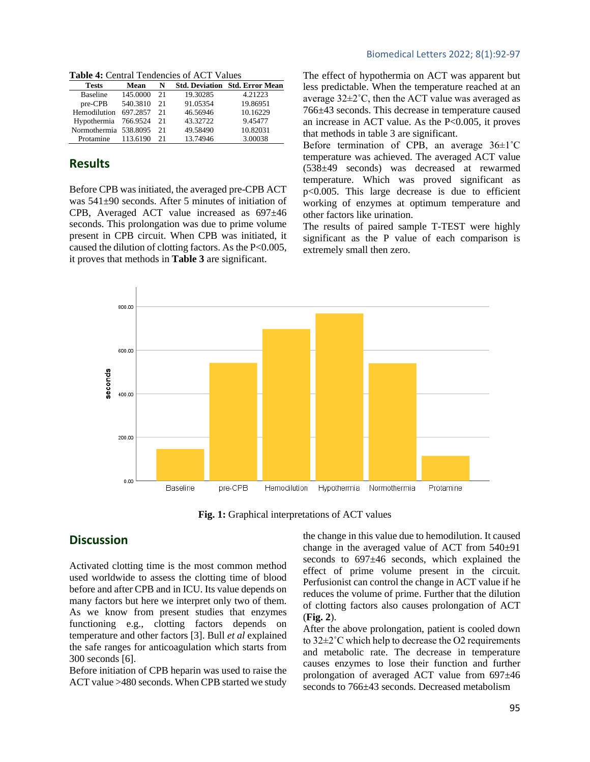**Table 4:** Central Tendencies of ACT Values

| Mean                  | N   |          | <b>Std. Deviation Std. Error Mean</b> |
|-----------------------|-----|----------|---------------------------------------|
| 145.0000              | 2.1 | 19.30285 | 4.21223                               |
| 540.3810              | 2.1 | 91.05354 | 19.86951                              |
| 697.2857              | 21  | 46.56946 | 10.16229                              |
| Hypothermia 766.9524  | 21  | 43.32722 | 9.45477                               |
| Normothermia 538,8095 | 21  | 49.58490 | 10.82031                              |
| 113.6190              | 21  | 13.74946 | 3.00038                               |
|                       |     |          |                                       |

# **Results**

Before CPB was initiated, the averaged pre-CPB ACT was 541±90 seconds. After 5 minutes of initiation of CPB, Averaged ACT value increased as 697±46 seconds. This prolongation was due to prime volume present in CPB circuit. When CPB was initiated, it caused the dilution of clotting factors. As the P<0.005, it proves that methods in **Table 3** are significant.

The effect of hypothermia on ACT was apparent but less predictable. When the temperature reached at an average 32±2˚C, then the ACT value was averaged as 766±43 seconds. This decrease in temperature caused an increase in ACT value. As the  $P<0.005$ , it proves that methods in table 3 are significant.

Before termination of CPB, an average  $36\pm1^{\circ}$ C temperature was achieved. The averaged ACT value (538±49 seconds) was decreased at rewarmed temperature. Which was proved significant as p<0.005. This large decrease is due to efficient working of enzymes at optimum temperature and other factors like urination.

The results of paired sample T-TEST were highly significant as the P value of each comparison is extremely small then zero.



**Fig. 1:** Graphical interpretations of ACT values

# **Discussion**

Activated clotting time is the most common method used worldwide to assess the clotting time of blood before and after CPB and in ICU. Its value depends on many factors but here we interpret only two of them. As we know from present studies that enzymes functioning e.g., clotting factors depends on temperature and other factors [3]. Bull *et al* explained the safe ranges for anticoagulation which starts from 300 seconds [6].

Before initiation of CPB heparin was used to raise the ACT value >480 seconds. When CPB started we study

the change in this value due to hemodilution. It caused change in the averaged value of ACT from 540±91 seconds to 697±46 seconds, which explained the effect of prime volume present in the circuit. Perfusionist can control the change in ACT value if he reduces the volume of prime. Further that the dilution of clotting factors also causes prolongation of ACT (**Fig. 2**).

After the above prolongation, patient is cooled down to 32±2˚C which help to decrease the O2 requirements and metabolic rate. The decrease in temperature causes enzymes to lose their function and further prolongation of averaged ACT value from 697±46 seconds to 766±43 seconds. Decreased metabolism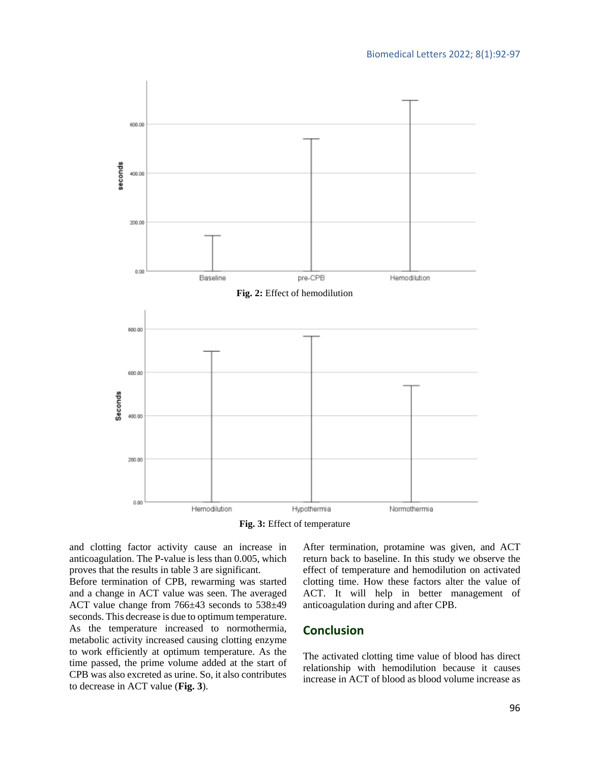

**Fig. 3:** Effect of temperature

and clotting factor activity cause an increase in anticoagulation. The P-value is less than 0.005, which proves that the results in table 3 are significant.

Before termination of CPB, rewarming was started and a change in ACT value was seen. The averaged ACT value change from 766±43 seconds to 538±49 seconds. This decrease is due to optimum temperature. As the temperature increased to normothermia, metabolic activity increased causing clotting enzyme to work efficiently at optimum temperature. As the time passed, the prime volume added at the start of CPB was also excreted as urine. So, it also contributes to decrease in ACT value (**Fig. 3**).

After termination, protamine was given, and ACT return back to baseline. In this study we observe the effect of temperature and hemodilution on activated clotting time. How these factors alter the value of ACT. It will help in better management of anticoagulation during and after CPB.

# **Conclusion**

The activated clotting time value of blood has direct relationship with hemodilution because it causes increase in ACT of blood as blood volume increase as